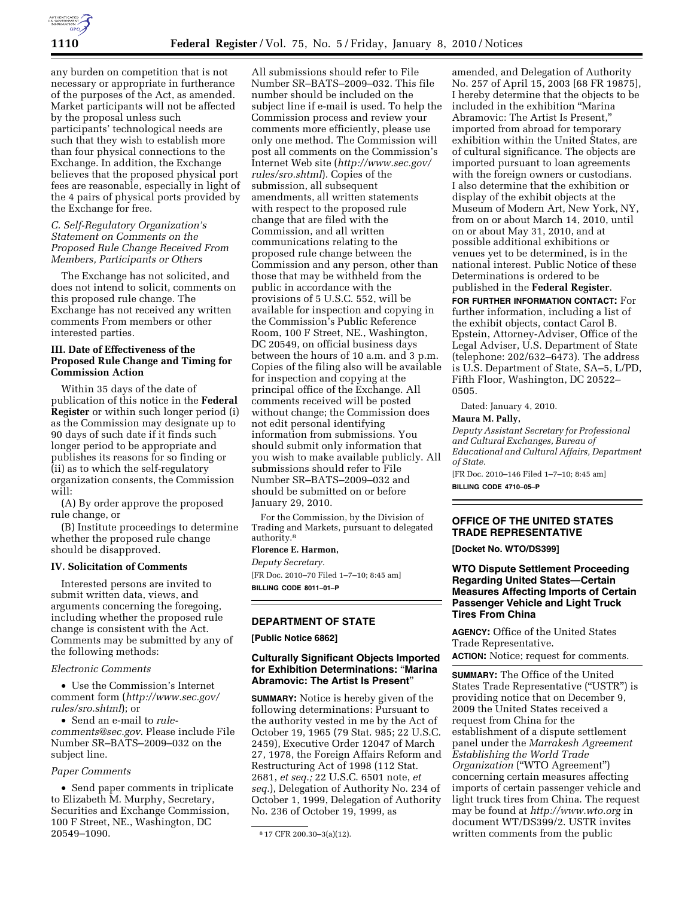

any burden on competition that is not necessary or appropriate in furtherance of the purposes of the Act, as amended. Market participants will not be affected by the proposal unless such participants' technological needs are such that they wish to establish more than four physical connections to the Exchange. In addition, the Exchange believes that the proposed physical port fees are reasonable, especially in light of the 4 pairs of physical ports provided by the Exchange for free.

## *C. Self-Regulatory Organization's Statement on Comments on the Proposed Rule Change Received From Members, Participants or Others*

The Exchange has not solicited, and does not intend to solicit, comments on this proposed rule change. The Exchange has not received any written comments From members or other interested parties.

## **III. Date of Effectiveness of the Proposed Rule Change and Timing for Commission Action**

Within 35 days of the date of publication of this notice in the **Federal Register** or within such longer period (i) as the Commission may designate up to 90 days of such date if it finds such longer period to be appropriate and publishes its reasons for so finding or (ii) as to which the self-regulatory organization consents, the Commission will:

(A) By order approve the proposed rule change, or

(B) Institute proceedings to determine whether the proposed rule change should be disapproved.

#### **IV. Solicitation of Comments**

Interested persons are invited to submit written data, views, and arguments concerning the foregoing, including whether the proposed rule change is consistent with the Act. Comments may be submitted by any of the following methods:

### *Electronic Comments*

• Use the Commission's Internet comment form (*http://www.sec.gov/ rules/sro.shtml*); or

• Send an e-mail to *rulecomments@sec.gov*. Please include File Number SR–BATS–2009–032 on the subject line.

# *Paper Comments*

• Send paper comments in triplicate to Elizabeth M. Murphy, Secretary, Securities and Exchange Commission, 100 F Street, NE., Washington, DC 20549–1090.

All submissions should refer to File Number SR–BATS–2009–032. This file number should be included on the subject line if e-mail is used. To help the Commission process and review your comments more efficiently, please use only one method. The Commission will post all comments on the Commission's Internet Web site (*http://www.sec.gov/ rules/sro.shtml*). Copies of the submission, all subsequent amendments, all written statements with respect to the proposed rule change that are filed with the Commission, and all written communications relating to the proposed rule change between the Commission and any person, other than those that may be withheld from the public in accordance with the provisions of 5 U.S.C. 552, will be available for inspection and copying in the Commission's Public Reference Room, 100 F Street, NE., Washington, DC 20549, on official business days between the hours of 10 a.m. and 3 p.m. Copies of the filing also will be available for inspection and copying at the principal office of the Exchange. All comments received will be posted without change; the Commission does not edit personal identifying information from submissions. You should submit only information that you wish to make available publicly. All submissions should refer to File Number SR–BATS–2009–032 and should be submitted on or before January 29, 2010.

For the Commission, by the Division of Trading and Markets, pursuant to delegated authority.8

## **Florence E. Harmon,**

*Deputy Secretary.*  [FR Doc. 2010–70 Filed 1–7–10; 8:45 am] **BILLING CODE 8011–01–P** 

## **DEPARTMENT OF STATE**

**[Public Notice 6862]** 

## **Culturally Significant Objects Imported for Exhibition Determinations:** ''**Marina Abramovic: The Artist Is Present**''

**SUMMARY:** Notice is hereby given of the following determinations: Pursuant to the authority vested in me by the Act of October 19, 1965 (79 Stat. 985; 22 U.S.C. 2459), Executive Order 12047 of March 27, 1978, the Foreign Affairs Reform and Restructuring Act of 1998 (112 Stat. 2681, *et seq.;* 22 U.S.C. 6501 note, *et seq.*), Delegation of Authority No. 234 of October 1, 1999, Delegation of Authority No. 236 of October 19, 1999, as

amended, and Delegation of Authority No. 257 of April 15, 2003 [68 FR 19875], I hereby determine that the objects to be included in the exhibition ''Marina Abramovic: The Artist Is Present,'' imported from abroad for temporary exhibition within the United States, are of cultural significance. The objects are imported pursuant to loan agreements with the foreign owners or custodians. I also determine that the exhibition or display of the exhibit objects at the Museum of Modern Art, New York, NY, from on or about March 14, 2010, until on or about May 31, 2010, and at possible additional exhibitions or venues yet to be determined, is in the national interest. Public Notice of these Determinations is ordered to be published in the **Federal Register**.

**FOR FURTHER INFORMATION CONTACT:** For further information, including a list of the exhibit objects, contact Carol B. Epstein, Attorney-Adviser, Office of the Legal Adviser, U.S. Department of State (telephone: 202/632–6473). The address is U.S. Department of State, SA–5, L/PD, Fifth Floor, Washington, DC 20522– 0505.

Dated: January 4, 2010.

## **Maura M. Pally,**

*Deputy Assistant Secretary for Professional and Cultural Exchanges, Bureau of Educational and Cultural Affairs, Department of State.* 

[FR Doc. 2010–146 Filed 1–7–10; 8:45 am] **BILLING CODE 4710–05–P** 

## **OFFICE OF THE UNITED STATES TRADE REPRESENTATIVE**

**[Docket No. WTO/DS399]** 

# **WTO Dispute Settlement Proceeding Regarding United States—Certain Measures Affecting Imports of Certain Passenger Vehicle and Light Truck Tires From China**

**AGENCY:** Office of the United States Trade Representative. **ACTION:** Notice; request for comments.

**SUMMARY:** The Office of the United States Trade Representative (''USTR'') is providing notice that on December 9, 2009 the United States received a request from China for the establishment of a dispute settlement panel under the *Marrakesh Agreement Establishing the World Trade Organization* (''WTO Agreement'') concerning certain measures affecting imports of certain passenger vehicle and light truck tires from China. The request may be found at *http://www.wto.org* in document WT/DS399/2. USTR invites written comments from the public

<sup>8</sup> 17 CFR 200.30–3(a)(12).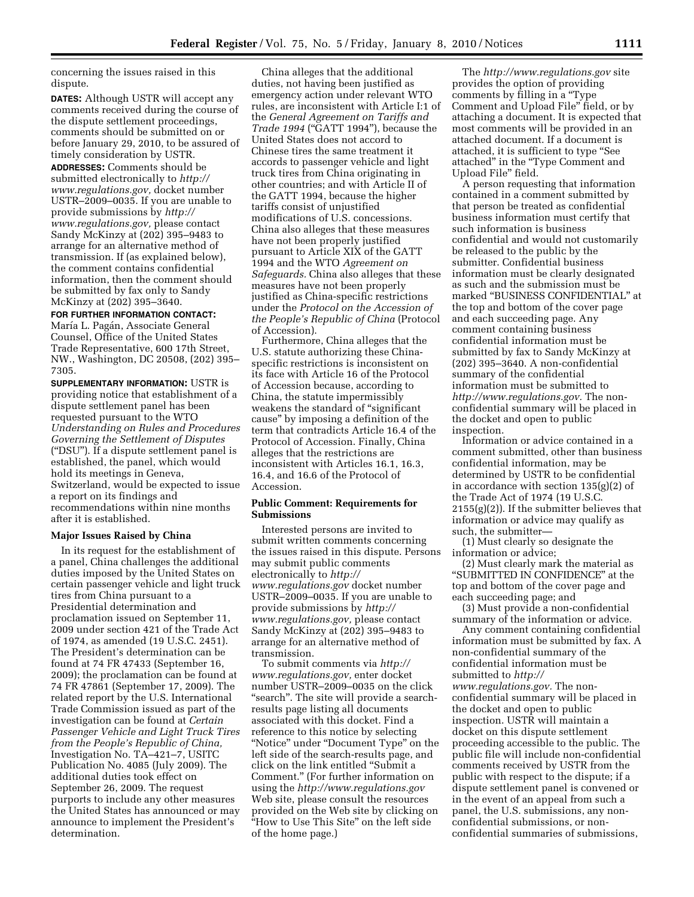concerning the issues raised in this dispute.

**DATES:** Although USTR will accept any comments received during the course of the dispute settlement proceedings, comments should be submitted on or before January 29, 2010, to be assured of timely consideration by USTR.

**ADDRESSES:** Comments should be submitted electronically to *http:// www.regulations.gov,* docket number USTR–2009–0035. If you are unable to provide submissions by *http:// www.regulations.gov,* please contact Sandy McKinzy at (202) 395–9483 to arrange for an alternative method of transmission. If (as explained below), the comment contains confidential information, then the comment should be submitted by fax only to Sandy McKinzy at (202) 395–3640.

#### **FOR FURTHER INFORMATION CONTACT:**

María L. Pagán, Associate General Counsel, Office of the United States Trade Representative, 600 17th Street, NW., Washington, DC 20508, (202) 395– 7305.

**SUPPLEMENTARY INFORMATION:** USTR is providing notice that establishment of a dispute settlement panel has been requested pursuant to the WTO *Understanding on Rules and Procedures Governing the Settlement of Disputes*  (''DSU''). If a dispute settlement panel is established, the panel, which would hold its meetings in Geneva, Switzerland, would be expected to issue a report on its findings and recommendations within nine months after it is established.

#### **Major Issues Raised by China**

In its request for the establishment of a panel, China challenges the additional duties imposed by the United States on certain passenger vehicle and light truck tires from China pursuant to a Presidential determination and proclamation issued on September 11, 2009 under section 421 of the Trade Act of 1974, as amended (19 U.S.C. 2451). The President's determination can be found at 74 FR 47433 (September 16, 2009); the proclamation can be found at 74 FR 47861 (September 17, 2009). The related report by the U.S. International Trade Commission issued as part of the investigation can be found at *Certain Passenger Vehicle and Light Truck Tires from the People's Republic of China,*  Investigation No. TA–421–7, USITC Publication No. 4085 (July 2009). The additional duties took effect on September 26, 2009. The request purports to include any other measures the United States has announced or may announce to implement the President's determination.

China alleges that the additional duties, not having been justified as emergency action under relevant WTO rules, are inconsistent with Article I:1 of the *General Agreement on Tariffs and Trade 1994* (''GATT 1994''), because the United States does not accord to Chinese tires the same treatment it accords to passenger vehicle and light truck tires from China originating in other countries; and with Article II of the GATT 1994, because the higher tariffs consist of unjustified modifications of U.S. concessions. China also alleges that these measures have not been properly justified pursuant to Article XIX of the GATT 1994 and the WTO *Agreement on Safeguards.* China also alleges that these measures have not been properly justified as China-specific restrictions under the *Protocol on the Accession of the People's Republic of China* (Protocol of Accession).

Furthermore, China alleges that the U.S. statute authorizing these Chinaspecific restrictions is inconsistent on its face with Article 16 of the Protocol of Accession because, according to China, the statute impermissibly weakens the standard of ''significant cause'' by imposing a definition of the term that contradicts Article 16.4 of the Protocol of Accession. Finally, China alleges that the restrictions are inconsistent with Articles 16.1, 16.3, 16.4, and 16.6 of the Protocol of Accession.

#### **Public Comment: Requirements for Submissions**

Interested persons are invited to submit written comments concerning the issues raised in this dispute. Persons may submit public comments electronically to *http:// www.regulations.gov* docket number USTR–2009–0035. If you are unable to provide submissions by *http:// www.regulations.gov,* please contact Sandy McKinzy at (202) 395–9483 to arrange for an alternative method of transmission.

To submit comments via *http:// www.regulations.gov,* enter docket number USTR–2009–0035 on the click "search". The site will provide a searchresults page listing all documents associated with this docket. Find a reference to this notice by selecting ''Notice'' under ''Document Type'' on the left side of the search-results page, and click on the link entitled ''Submit a Comment.'' (For further information on using the *http://www.regulations.gov*  Web site, please consult the resources provided on the Web site by clicking on ''How to Use This Site'' on the left side of the home page.)

The *http://www.regulations.gov* site provides the option of providing comments by filling in a ''Type Comment and Upload File'' field, or by attaching a document. It is expected that most comments will be provided in an attached document. If a document is attached, it is sufficient to type ''See attached'' in the ''Type Comment and Upload File'' field.

A person requesting that information contained in a comment submitted by that person be treated as confidential business information must certify that such information is business confidential and would not customarily be released to the public by the submitter. Confidential business information must be clearly designated as such and the submission must be marked ''BUSINESS CONFIDENTIAL'' at the top and bottom of the cover page and each succeeding page. Any comment containing business confidential information must be submitted by fax to Sandy McKinzy at (202) 395–3640. A non-confidential summary of the confidential information must be submitted to *http://www.regulations.gov.* The nonconfidential summary will be placed in the docket and open to public inspection.

Information or advice contained in a comment submitted, other than business confidential information, may be determined by USTR to be confidential in accordance with section 135(g)(2) of the Trade Act of 1974 (19 U.S.C.  $2155(g)(2)$ ). If the submitter believes that information or advice may qualify as such, the submitter—

(1) Must clearly so designate the information or advice;

(2) Must clearly mark the material as ''SUBMITTED IN CONFIDENCE'' at the top and bottom of the cover page and each succeeding page; and

(3) Must provide a non-confidential summary of the information or advice.

Any comment containing confidential information must be submitted by fax. A non-confidential summary of the confidential information must be submitted to *http:// www.regulations.gov.* The nonconfidential summary will be placed in the docket and open to public inspection. USTR will maintain a docket on this dispute settlement proceeding accessible to the public. The public file will include non-confidential comments received by USTR from the public with respect to the dispute; if a dispute settlement panel is convened or in the event of an appeal from such a panel, the U.S. submissions, any nonconfidential submissions, or nonconfidential summaries of submissions,